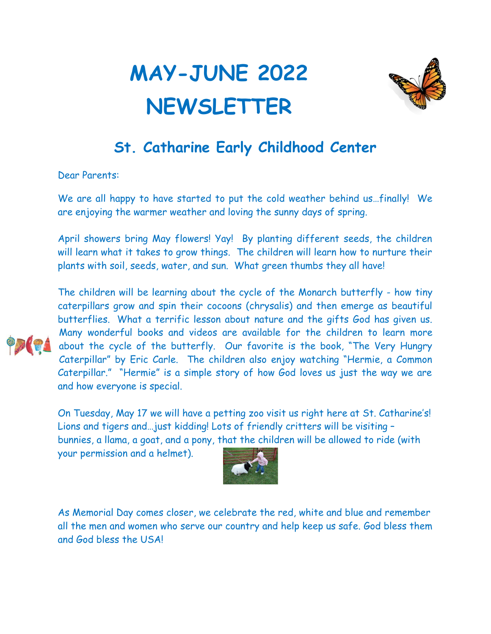## **MAY-JUNE 2022 NEWSLETTER**



## **St. Catharine Early Childhood Center**

Dear Parents:

We are all happy to have started to put the cold weather behind us…finally! We are enjoying the warmer weather and loving the sunny days of spring.

April showers bring May flowers! Yay! By planting different seeds, the children will learn what it takes to grow things. The children will learn how to nurture their plants with soil, seeds, water, and sun. What green thumbs they all have!



The children will be learning about the cycle of the Monarch butterfly - how tiny caterpillars grow and spin their cocoons (chrysalis) and then emerge as beautiful butterflies. What a terrific lesson about nature and the gifts God has given us. Many wonderful books and videos are available for the children to learn more about the cycle of the butterfly. Our favorite is the book, "The Very Hungry Caterpillar" by Eric Carle. The children also enjoy watching "Hermie, a Common Caterpillar." "Hermie" is a simple story of how God loves us just the way we are and how everyone is special.

On Tuesday, May 17 we will have a petting zoo visit us right here at St. Catharine's! Lions and tigers and…just kidding! Lots of friendly critters will be visiting – bunnies, a llama, a goat, and a pony, that the children will be allowed to ride (with

your permission and a helmet).



As Memorial Day comes closer, we celebrate the red, white and blue and remember all the men and women who serve our country and help keep us safe. God bless them and God bless the USA!